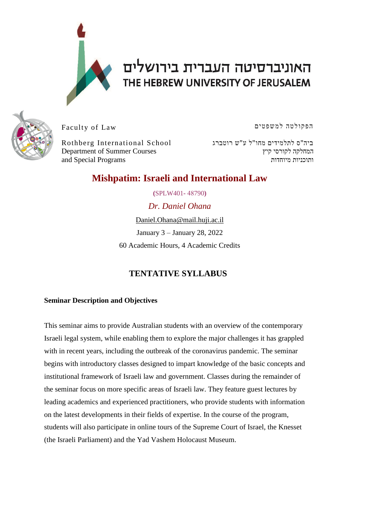

# האוניברסיטה העברית בירושלים THE HEBREW UNIVERSITY OF JERUSALEM



Faculty of Law

Rothberg International School ביה"ס לתלמידים מחו"ל ע"ש רוטברג Department of Summer Courses and Special Programs

הפקולטה למשפטים

המחלקה לקורסי קיץ ותוכניות מיוחדות

# **Mishpatim: Israeli and International Law**

**(**SPLW401**-** 48790**)** *Dr. Daniel Ohana* Daniel.Ohana@mail.huji.ac.il January 3 – January 28, 2022

60 Academic Hours, 4 Academic Credits

# **TENTATIVE SYLLABUS**

#### **Seminar Description and Objectives**

This seminar aims to provide Australian students with an overview of the contemporary Israeli legal system, while enabling them to explore the major challenges it has grappled with in recent years, including the outbreak of the coronavirus pandemic. The seminar begins with introductory classes designed to impart knowledge of the basic concepts and institutional framework of Israeli law and government. Classes during the remainder of the seminar focus on more specific areas of Israeli law. They feature guest lectures by leading academics and experienced practitioners, who provide students with information on the latest developments in their fields of expertise. In the course of the program, students will also participate in online tours of the Supreme Court of Israel, the Knesset (the Israeli Parliament) and the Yad Vashem Holocaust Museum.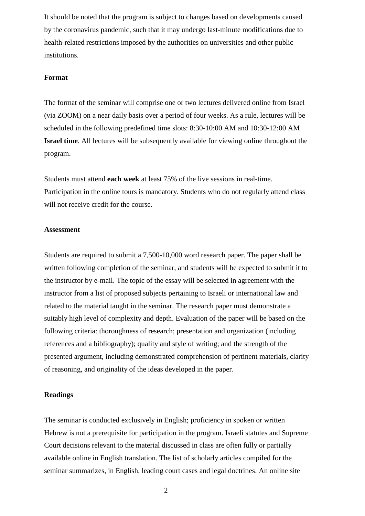It should be noted that the program is subject to changes based on developments caused by the coronavirus pandemic, such that it may undergo last-minute modifications due to health-related restrictions imposed by the authorities on universities and other public institutions.

#### **Format**

The format of the seminar will comprise one or two lectures delivered online from Israel (via ZOOM) on a near daily basis over a period of four weeks. As a rule, lectures will be scheduled in the following predefined time slots: 8:30-10:00 AM and 10:30-12:00 AM **Israel time**. All lectures will be subsequently available for viewing online throughout the program.

Students must attend **each week** at least 75% of the live sessions in real-time. Participation in the online tours is mandatory. Students who do not regularly attend class will not receive credit for the course.

#### **Assessment**

Students are required to submit a 7,500-10,000 word research paper. The paper shall be written following completion of the seminar, and students will be expected to submit it to the instructor by e-mail. The topic of the essay will be selected in agreement with the instructor from a list of proposed subjects pertaining to Israeli or international law and related to the material taught in the seminar. The research paper must demonstrate a suitably high level of complexity and depth. Evaluation of the paper will be based on the following criteria: thoroughness of research; presentation and organization (including references and a bibliography); quality and style of writing; and the strength of the presented argument, including demonstrated comprehension of pertinent materials, clarity of reasoning, and originality of the ideas developed in the paper.

#### **Readings**

The seminar is conducted exclusively in English; proficiency in spoken or written Hebrew is not a prerequisite for participation in the program. Israeli statutes and Supreme Court decisions relevant to the material discussed in class are often fully or partially available online in English translation. The list of scholarly articles compiled for the seminar summarizes, in English, leading court cases and legal doctrines. An online site

2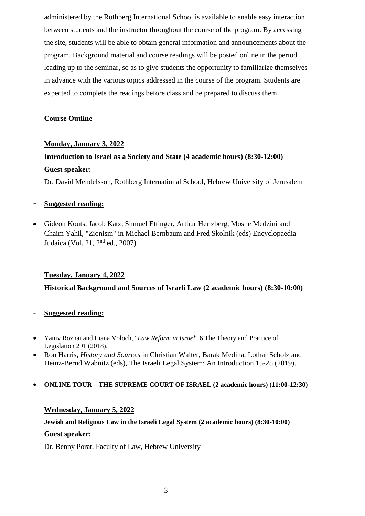administered by the Rothberg International School is available to enable easy interaction between students and the instructor throughout the course of the program. By accessing the site, students will be able to obtain general information and announcements about the program. Background material and course readings will be posted online in the period leading up to the seminar, so as to give students the opportunity to familiarize themselves in advance with the various topics addressed in the course of the program. Students are expected to complete the readings before class and be prepared to discuss them.

#### **Course Outline**

#### **Monday, January 3, 2022**

# **Introduction to Israel as a Society and State (4 academic hours) (8:30-12:00) Guest speaker:** Dr. David Mendelsson, Rothberg International School, Hebrew University of Jerusalem

#### - **Suggested reading:**

• Gideon Kouts, Jacob Katz, Shmuel Ettinger, Arthur Hertzberg, Moshe Medzini and Chaim Yahil, "Zionism" in Michael Bernbaum and Fred Skolnik (eds) Encyclopaedia Judaica (Vol. 21, 2nd ed., 2007).

#### **Tuesday, January 4, 2022**

**Historical Background and Sources of Israeli Law (2 academic hours) (8:30-10:00)**

#### - **Suggested reading:**

- Yaniv Roznai and Liana Voloch, "*Law Reform in Israel*" 6 The Theory and Practice of Legislation 291 (2018).
- Ron Harris**,** *History and Sources* in Christian Walter, Barak Medina, Lothar Scholz and Heinz-Bernd Wabnitz (eds), The Israeli Legal System: An Introduction 15-25 (2019).

#### • **ONLINE TOUR – THE SUPREME COURT OF ISRAEL (2 academic hours) (11:00-12:30)**

#### **Wednesday, January 5, 2022**

# **Jewish and Religious Law in the Israeli Legal System (2 academic hours) (8:30-10:00) Guest speaker:**

Dr. Benny Porat, Faculty of Law, Hebrew University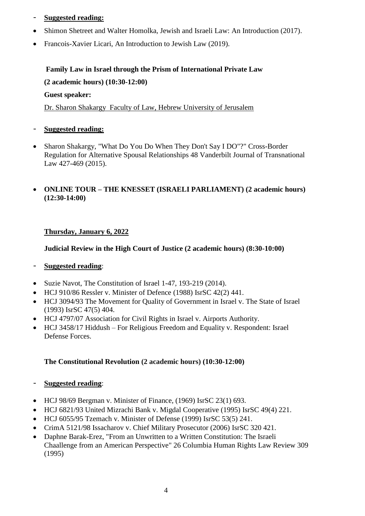- **Suggested reading:**
- Shimon Shetreet and Walter Homolka, Jewish and Israeli Law: An Introduction (2017).
- Francois-Xavier Licari, An Introduction to Jewish Law (2019).

# **Family Law in Israel through the Prism of International Private Law (2 academic hours) (10:30-12:00)**

#### **Guest speaker:**

Dr. Sharon Shakargy Faculty of Law, Hebrew University of Jerusalem

- **Suggested reading:**
- Sharon Shakargy, "What Do You Do When They Don't Say I DO"?" Cross-Border Regulation for Alternative Spousal Relationships 48 Vanderbilt Journal of Transnational Law 427-469 (2015).

#### • **ONLINE TOUR – THE KNESSET (ISRAELI PARLIAMENT) (2 academic hours) (12:30-14:00)**

#### **Thursday, January 6, 2022**

#### **Judicial Review in the High Court of Justice (2 academic hours) (8:30-10:00)**

#### - **Suggested reading**:

- Suzie Navot, The Constitution of Israel 1-47, 193-219 (2014).
- HCJ 910/86 Ressler v. Minister of Defence (1988) IsrSC 42(2) 441.
- HCJ 3094/93 The Movement for Quality of Government in Israel v. The State of Israel (1993) IsrSC 47(5) 404.
- HCJ 4797/07 Association for Civil Rights in Israel v. Airports Authority.
- HCJ 3458/17 Hiddush For Religious Freedom and Equality v. Respondent: Israel Defense Forces.

### **The Constitutional Revolution (2 academic hours) (10:30-12:00)**

- **Suggested reading**:
- HCJ 98/69 Bergman v. Minister of Finance, (1969) IsrSC 23(1) 693.
- HCJ 6821/93 United Mizrachi Bank v. Migdal Cooperative (1995) IsrSC 49(4) 221.
- HCJ  $6055/95$  Tzemach v. Minister of Defense (1999) IsrSC  $53(5)$  241.
- CrimA 5121/98 Issacharov v. Chief Military Prosecutor (2006) IsrSC 320 421.
- Daphne Barak-Erez, "From an Unwritten to a Written Constitution: The Israeli Chaallenge from an American Perspective" 26 Columbia Human Rights Law Review 309 (1995)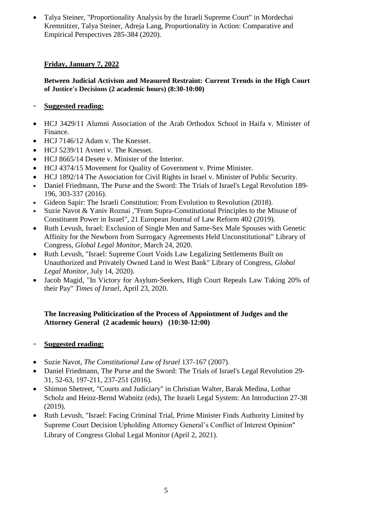• Talya Steiner, "Proportionality Analysis by the Israeli Supreme Court" in Mordechai Kremnitzer, Talya Steiner, Adreja Lang, Proportionality in Action: Comparative and Empirical Perspectives 285-384 (2020).

#### **Friday, January 7, 2022**

#### **Between Judicial Activism and Measured Restraint: Current Trends in the High Court of Justice's Decisions (2 academic hours) (8:30-10:00)**

#### - **Suggested reading:**

- HCJ 3429/11 Alumni Association of the Arab Orthodox School in Haifa v. Minister of Finance.
- HCJ 7146/12 Adam v. The Knesset.
- HCJ 5239/11 Avneri v. The Knesset.
- HCJ 8665/14 Desete v. Minister of the Interior.
- HCJ 4374/15 Movement for Quality of Government v. Prime Minister.
- HCJ 1892/14 The Association for Civil Rights in Israel v. Minister of Public Security.
- Daniel Friedmann, The Purse and the Sword: The Trials of Israel's Legal Revolution 189- 196, 303-337 (2016).
- Gideon Sapir: The Israeli Constitution: From Evolution to Revolution (2018).
- Suzie Navot & Yaniv Roznai ,"From Supra-Constitutional Principles to the Misuse of Constituent Power in Israel", 21 European Journal of Law Reform 402 (2019).
- Ruth Levush, Israel: Exclusion of Single Men and Same-Sex Male Spouses with Genetic Affinity for the Newborn from Surrogacy Agreements Held Unconstitutional" Library of Congress, *Global Legal Monitor,* March 24, 2020.
- Ruth Levush, "Israel: Supreme Court Voids Law Legalizing Settlements Built on Unauthorized and Privately Owned Land in West Bank" Library of Congress, *Global Legal Monitor,* July 14, 2020).
- Jacob Magid, "In Victory for Asylum-Seekers, High Court Repeals Law Taking 20% of their Pay" *Times of Israel,* April 23, 2020.

#### **The Increasing Politicization of the Process of Appointment of Judges and the Attorney General (2 academic hours) (10:30-12:00)**

- **Suggested reading:**
- Suzie Navot, *The Constitutional Law of Israel* 137-167 (2007).
- Daniel Friedmann, The Purse and the Sword: The Trials of Israel's Legal Revolution 29- 31, 52-63, 197-211, 237-251 (2016).
- Shimon Shetreet, "Courts and Judiciary" in Christian Walter, Barak Medina, Lothar Scholz and Heinz-Bernd Wabnitz (eds), The Israeli Legal System: An Introduction 27-38 (2019).
- Ruth Levush, "Israel: Facing Criminal Trial, Prime Minister Finds Authority Limited by Supreme Court Decision Upholding Attorney General's Conflict of Interest Opinion" Library of Congress Global Legal Monitor (April 2, 2021).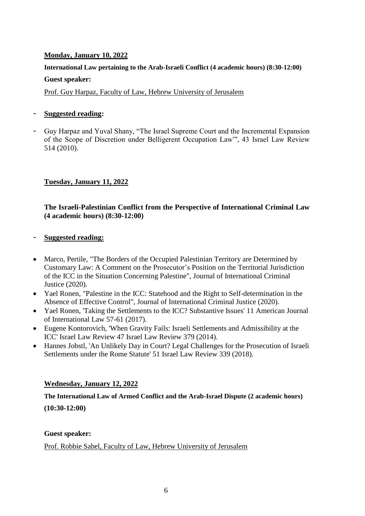#### **Monday, January 10, 2022**

## **International Law pertaining to the Arab-Israeli Conflict (4 academic hours) (8:30-12:00) Guest speaker:**

Prof. Guy Harpaz, Faculty of Law, Hebrew University of Jerusalem

#### - **Suggested reading:**

- Guy Harpaz and Yuval Shany, "The Israel Supreme Court and the Incremental Expansion of the Scope of Discretion under Belligerent Occupation Law"', 43 Israel Law Review 514 (2010).

#### **Tuesday, January 11, 2022**

#### **The Israeli-Palestinian Conflict from the Perspective of International Criminal Law (4 academic hours) (8:30-12:00)**

#### - **Suggested reading:**

- Marco, Pertile, "The Borders of the Occupied Palestinian Territory are [Determined](https://academic.oup.com/jicj/advance-article/doi/10.1093/jicj/mqaa054/6020097) by Customary Law: A Comment on the [Prosecutor's](https://academic.oup.com/jicj/advance-article/doi/10.1093/jicj/mqaa054/6020097) Position on the Territorial Jurisdiction of the ICC in the Situation [Concerning](https://academic.oup.com/jicj/advance-article/doi/10.1093/jicj/mqaa054/6020097) Palestine", Journal of International Criminal Justice (2020).
- Yael Ronen, "Palestine in the ICC: Statehood and the Right to [Self-determination](https://academic.oup.com/jicj/advance-article/doi/10.1093/jicj/mqaa051/6017407) in the Absence of [Effective](https://academic.oup.com/jicj/advance-article/doi/10.1093/jicj/mqaa051/6017407) Control", Journal of International Criminal Justice (2020).
- Yael Ronen, 'Taking the Settlements to the ICC? Substantive Issues' 11 American Journal of International Law 57-61 (2017).
- Eugene Kontorovich, 'When Gravity Fails: Israeli Settlements and Admissibility at the ICC' Israel Law Review 47 Israel Law Review 379 (2014).
- Hannes Jobstl, 'An Unlikely Day in Court? Legal Challenges for the Prosecution of Israeli Settlements under the Rome Statute' 51 Israel Law Review 339 (2018).

#### **Wednesday, January 12, 2022**

#### **The International Law of Armed Conflict and the Arab-Israel Dispute (2 academic hours)**

**(10:30-12:00)**

#### **Guest speaker:**

Prof. Robbie Sabel, Faculty of Law, Hebrew University of Jerusalem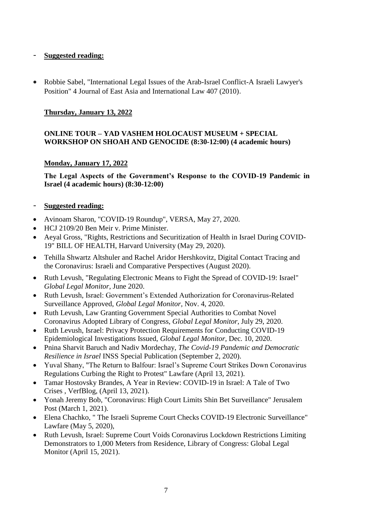#### - **Suggested reading:**

• Robbie Sabel, ["International Legal Issues of the Arab-Israel Conflict-A Israeli Lawyer's](https://heinonline.org/hol-cgi-bin/get_pdf.cgi?handle=hein.journals/jeasil3§ion=30)  [Position" 4 Journal of East Asia and International Law 407 \(2010\)](https://heinonline.org/hol-cgi-bin/get_pdf.cgi?handle=hein.journals/jeasil3§ion=30).

#### **Thursday, January 13, 2022**

#### **ONLINE TOUR – YAD VASHEM HOLOCAUST MUSEUM + SPECIAL WORKSHOP ON SHOAH AND GENOCIDE (8:30-12:00) (4 academic hours)**

#### **Monday, January 17, 2022**

**The Legal Aspects of the Government's Response to the COVID-19 Pandemic in Israel (4 academic hours) (8:30-12:00)**

- Avinoam Sharon, "COVID-19 Roundup", VERSA, May 27, 2020.
- HCJ 2109/20 Ben Meir v. Prime Minister.
- Aeyal Gross, "Rights, Restrictions and Securitization of Health in Israel During COVID-19" BILL OF HEALTH, Harvard University [\(May 29, 2020\)](https://blog.petrieflom.law.harvard.edu/2020/05/29/israel-global-responses-covid19/).
- Tehilla Shwartz Altshuler and Rachel Aridor Hershkovitz, Digital Contact Tracing and the Coronavirus: Israeli and Comparative Perspectives (August 2020).
- Ruth Levush, "Regulating Electronic Means to Fight the Spread of COVID-19: Israel" *Global Legal Monitor,* June 2020.
- Ruth Levush, Israel: Government's Extended Authorization for Coronavirus-Related Surveillance Approved, *Global Legal Monitor,* Nov. 4, 2020.
- Ruth Levush, Law Granting Government Special Authorities to Combat Novel Coronavirus Adopted Library of Congress, *Global Legal Monitor,* July 29, 2020.
- Ruth Levush, Israel: Privacy Protection Requirements for Conducting COVID-19 Epidemiological Investigations Issued, *Global Legal Monitor,* Dec. 10, 2020.
- Pnina Sharvit Baruch and Nadiv Mordechay, *The Covid-19 Pandemic and Democratic Resilience in Israel* INSS Special Publication (September 2, 2020).
- Yuval Shany, "The Return to Balfour: Israel's Supreme Court Strikes Down Coronavirus Regulations Curbing the Right to Protest" Lawfare (April 13, 2021).
- Tamar Hostovsky Brandes, A Year in Review: COVID-19 in Israel: A Tale of Two Crises , VerfBlog, (April 13, 2021).
- Yonah Jeremy Bob, "Coronavirus: High Court Limits Shin Bet Surveillance" Jerusalem Post (March 1, 2021).
- Elena Chachko, " The Israeli Supreme Court Checks COVID-19 Electronic Surveillance" Lawfare (May 5, 2020),
- Ruth Levush, Israel: Supreme Court Voids Coronavirus Lockdown Restrictions Limiting Demonstrators to 1,000 Meters from Residence, Library of Congress: Global Legal Monitor (April 15, 2021).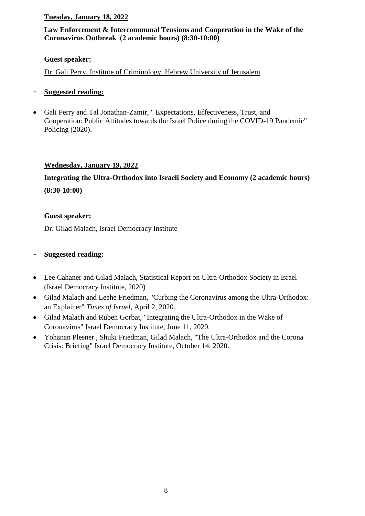#### **Tuesday, January 18, 2022**

#### **Law Enforcement & Intercommunal Tensions and Cooperation in the Wake of the Coronavirus Outbreak (2 academic hours) (8:30-10:00)**

#### **Guest speaker:**

Dr. Gali Perry, Institute of Criminology, Hebrew University of Jerusalem

- **Suggested reading:**
- Gali Perry and Tal Jonathan-Zamir, " Expectations, Effectiveness, Trust, and Cooperation: Public Attitudes towards the Israel Police during the COVID-19 Pandemic" Policing (2020).

#### **Wednesday, January 19, 2022**

**Integrating the Ultra-Orthodox into Israeli Society and Economy (2 academic hours) (8:30-10:00)**

#### **Guest speaker:**

Dr. Gilad Malach, Israel Democracy Institute

- Lee Cahaner and Gilad Malach, Statistical Report on Ultra-Orthodox Society in Israel (Israel Democracy Institute, 2020)
- Gilad Malach and Leehe Friedman, "Curbing the Coronavirus among the Ultra-Orthodox: an Explainer" *Times of Israel*, April 2, 2020.
- Gilad Malach and Ruben Gorbat, "Integrating the Ultra-Orthodox in the Wake of Coronavirus" Israel Democracy Institute, June 11, 2020.
- [Yohanan Plesner ,](https://en.idi.org.il/experts/1305) [Shuki Friedman,](https://en.idi.org.il/experts/1362) [Gilad Malach,](https://en.idi.org.il/experts/1451) "The Ultra-Orthodox and the Corona Crisis: Briefing" Israel Democracy Institute, October 14, 2020.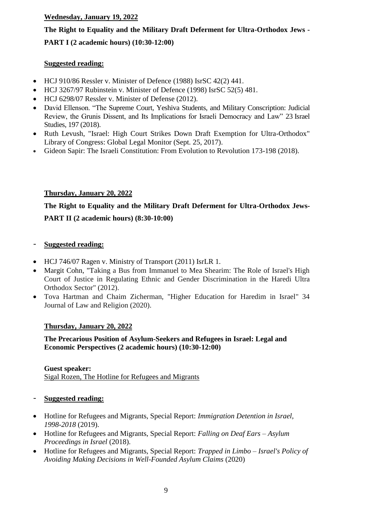#### **Wednesday, January 19, 2022**

# **The Right to Equality and the Military Draft Deferment for Ultra-Orthodox Jews - PART I (2 academic hours) (10:30-12:00)**

#### **Suggested reading:**

- HCJ 910/86 Ressler v. Minister of Defence (1988) IsrSC 42(2) 441.
- HCJ 3267/97 Rubinstein v. Minister of Defence (1998) IsrSC 52(5) 481.
- HCJ 6298/07 Ressler v. Minister of Defense (2012).
- David Ellenson. "The Supreme Court, Yeshiva Students, and Military Conscription: Judicial Review, the Grunis Dissent, and Its Implications for Israeli Democracy and Law" 23 Israel Studies, 197 (2018).
- Ruth Levush, "Israel: High Court Strikes Down Draft Exemption for Ultra-Orthodox" Library of Congress: Global Legal Monitor (Sept. 25, 2017).
- Gideon Sapir: The Israeli Constitution: From Evolution to Revolution 173-198 (2018).

#### **Thursday, January 20, 2022**

# **The Right to Equality and the Military Draft Deferment for Ultra-Orthodox Jews-PART II (2 academic hours) (8:30-10:00)**

#### - **Suggested reading:**

- HCJ 746/07 Ragen v. Ministry of Transport (2011) IsrLR 1.
- Margit Cohn, "Taking a Bus from Immanuel to Mea Shearim: The Role of Israel's High Court of Justice in Regulating Ethnic and Gender Discrimination in the Haredi Ultra Orthodox Sector" (2012).
- Tova Hartman and Chaim Zicherman, "Higher Education for Haredim in Israel" 34 Journal of Law and Religion (2020).

#### **Thursday, January 20, 2022**

#### **The Precarious Position of Asylum-Seekers and Refugees in Israel: Legal and Economic Perspectives (2 academic hours) (10:30-12:00)**

**Guest speaker:**  Sigal Rozen, The Hotline for Refugees and Migrants

- Hotline for Refugees and Migrants, Special Report: *Immigration Detention in Israel, 1998-2018* (2019).
- Hotline for Refugees and Migrants, Special Report: *Falling on Deaf Ears – Asylum Proceedings in Israel* (2018).
- Hotline for Refugees and Migrants, Special Report: *Trapped in Limbo – Israel's Policy of Avoiding Making Decisions in Well-Founded Asylum Claims* (2020)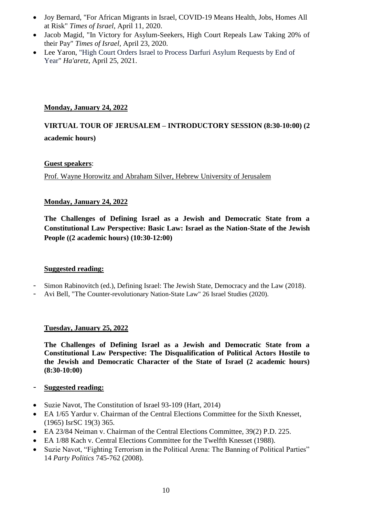- Joy Bernard, "For African Migrants in Israel, COVID-19 Means Health, Jobs, Homes All at Risk" *Times of Israel*, April 11, 2020.
- Jacob Magid, "In Victory for Asylum-Seekers, High Court Repeals Law Taking 20% of their Pay" *Times of Israel,* April 23, 2020.
- Lee Yaron, "High Court Orders Israel to Process Darfuri Asylum Requests by End of Year" *Ha'aretz*, April 25, 2021.

#### **Monday, January 24, 2022**

## **VIRTUAL TOUR OF JERUSALEM – INTRODUCTORY SESSION (8:30-10:00) (2 academic hours)**

#### **Guest speakers**:

Prof. Wayne Horowitz and Abraham Silver, Hebrew University of Jerusalem

#### **Monday, January 24, 2022**

**The Challenges of Defining Israel as a Jewish and Democratic State from a Constitutional Law Perspective: Basic Law: Israel as the Nation-State of the Jewish People ((2 academic hours) (10:30-12:00)**

#### **Suggested reading:**

- Simon Rabinovitch (ed.), Defining Israel: The Jewish State, Democracy and the Law (2018).
- Avi Bell, "The Counter-revolutionary Nation-State Law" 26 Israel Studies (2020).

#### **Tuesday, January 25, 2022**

**The Challenges of Defining Israel as a Jewish and Democratic State from a Constitutional Law Perspective: The Disqualification of Political Actors Hostile to the Jewish and Democratic Character of the State of Israel (2 academic hours) (8:30-10:00)**

- Suzie Navot, The Constitution of Israel 93-109 (Hart, 2014)
- EA 1/65 Yardur v. Chairman of the Central Elections Committee for the Sixth Knesset, (1965) IsrSC 19(3) 365.
- EA 23/84 Neiman v. Chairman of the Central Elections Committee, 39(2) P.D. 225.
- EA 1/88 Kach v. Central Elections Committee for the Twelfth Knesset (1988).
- Suzie Navot, "Fighting Terrorism in the Political Arena: The Banning of Political Parties" 14 *Party Politics* 745-762 (2008).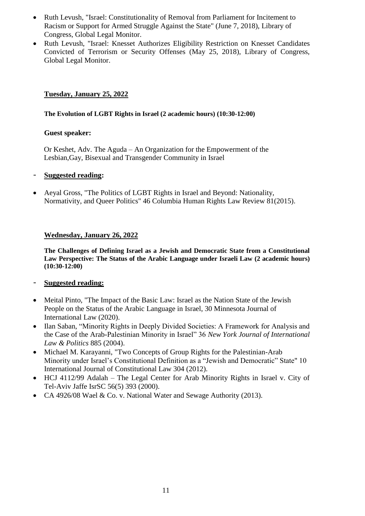- Ruth Levush, "Israel: Constitutionality of Removal from Parliament for Incitement to Racism or Support for Armed Struggle Against the State" (June 7, 2018), Library of Congress, Global Legal Monitor.
- Ruth Levush, "Israel: Knesset Authorizes Eligibility Restriction on Knesset [Candidates](http://www.loc.gov/law/foreign-news/article/israel-knesset-authorizes-eligibility-restriction-on-knesset-candidates-convicted-of-terrorism-or-security-offenses/) [Convicted](http://www.loc.gov/law/foreign-news/article/israel-knesset-authorizes-eligibility-restriction-on-knesset-candidates-convicted-of-terrorism-or-security-offenses/) of Terrorism or Security Offenses (May 25, 2018), Library of Congress, Global Legal Monitor.

#### **Tuesday, January 25, 2022**

#### **The Evolution of LGBT Rights in Israel (2 academic hours) (10:30-12:00)**

#### **Guest speaker:**

Or Keshet, Adv. The Aguda – An Organization for the Empowerment of the Lesbian,Gay, Bisexual and Transgender Community in Israel

#### - **Suggested reading:**

• Aeyal Gross, "The Politics of LGBT Rights in Israel and Beyond: Nationality, Normativity, and Queer Politics" 46 Columbia Human Rights Law Review 81(2015).

#### **Wednesday, January 26, 2022**

**The Challenges of Defining Israel as a Jewish and Democratic State from a Constitutional Law Perspective: The Status of the Arabic Language under Israeli Law (2 academic hours) (10:30-12:00)**

- Meital Pinto, "The Impact of the Basic Law: Israel as the Nation State of the Jewish People on the Status of the Arabic Language in Israel, 30 Minnesota Journal of International Law (2020).
- Ilan Saban, "Minority Rights in Deeply Divided Societies: A Framework for Analysis and the Case of the Arab-Palestinian Minority in Israel" 36 *New York Journal of International Law & Politics* 885 (2004).
- Michael M. Karayanni, "Two Concepts of Group Rights for the Palestinian-Arab Minority under Israel's Constitutional Definition as a "Jewish and Democratic" State" 10 International Journal of Constitutional Law 304 (2012).
- HCJ 4112/99 Adalah The Legal Center for Arab Minority Rights in Israel v. City of Tel-Aviv Jaffe IsrSC 56(5) 393 (2000).
- CA 4926/08 Wael & Co. v. National Water and Sewage Authority (2013).